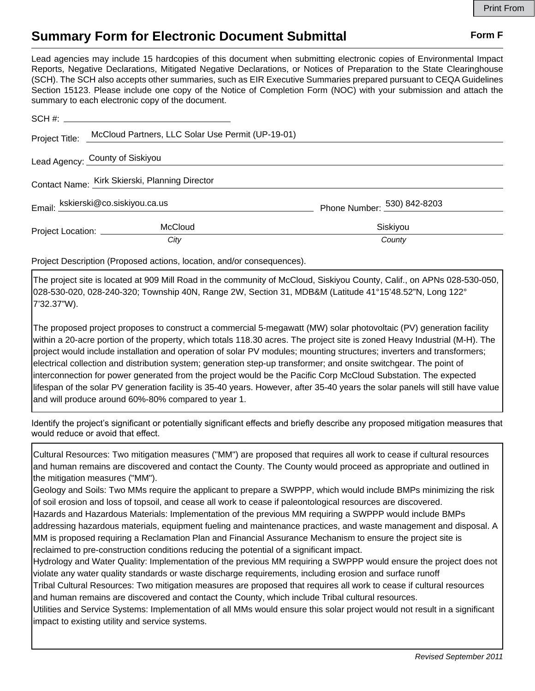## **Summary Form for Electronic Document Submittal Form F Form F**

Lead agencies may include 15 hardcopies of this document when submitting electronic copies of Environmental Impact Reports, Negative Declarations, Mitigated Negative Declarations, or Notices of Preparation to the State Clearinghouse (SCH). The SCH also accepts other summaries, such as EIR Executive Summaries prepared pursuant to CEQA Guidelines Section 15123. Please include one copy of the Notice of Completion Form (NOC) with your submission and attach the summary to each electronic copy of the document.

| Project Title:                                 | McCloud Partners, LLC Solar Use Permit (UP-19-01) |                             |
|------------------------------------------------|---------------------------------------------------|-----------------------------|
| Lead Agency: County of Siskiyou                |                                                   |                             |
| Contact Name: Kirk Skierski, Planning Director |                                                   |                             |
| Email: kskierski@co.siskiyou.ca.us             |                                                   | Phone Number: 530) 842-8203 |
| Project Location: ____________                 | <b>McCloud</b>                                    | Siskiyou                    |
|                                                | City                                              | County                      |

Project Description (Proposed actions, location, and/or consequences).

The project site is located at 909 Mill Road in the community of McCloud, Siskiyou County, Calif., on APNs 028-530-050, 028-530-020, 028-240-320; Township 40N, Range 2W, Section 31, MDB&M (Latitude 41°15'48.52"N, Long 122° 7'32.37"W).

The proposed project proposes to construct a commercial 5-megawatt (MW) solar photovoltaic (PV) generation facility within a 20-acre portion of the property, which totals 118.30 acres. The project site is zoned Heavy Industrial (M-H). The project would include installation and operation of solar PV modules; mounting structures; inverters and transformers; electrical collection and distribution system; generation step-up transformer; and onsite switchgear. The point of interconnection for power generated from the project would be the Pacific Corp McCloud Substation. The expected lifespan of the solar PV generation facility is 35-40 years. However, after 35-40 years the solar panels will still have value and will produce around 60%-80% compared to year 1.

Identify the project's significant or potentially significant effects and briefly describe any proposed mitigation measures that would reduce or avoid that effect.

Cultural Resources: Two mitigation measures ("MM") are proposed that requires all work to cease if cultural resources and human remains are discovered and contact the County. The County would proceed as appropriate and outlined in the mitigation measures ("MM").

Geology and Soils: Two MMs require the applicant to prepare a SWPPP, which would include BMPs minimizing the risk of soil erosion and loss of topsoil, and cease all work to cease if paleontological resources are discovered. Hazards and Hazardous Materials: Implementation of the previous MM requiring a SWPPP would include BMPs addressing hazardous materials, equipment fueling and maintenance practices, and waste management and disposal. A MM is proposed requiring a Reclamation Plan and Financial Assurance Mechanism to ensure the project site is reclaimed to pre-construction conditions reducing the potential of a significant impact.

Hydrology and Water Quality: Implementation of the previous MM requiring a SWPPP would ensure the project does not violate any water quality standards or waste discharge requirements, including erosion and surface runoff

Tribal Cultural Resources: Two mitigation measures are proposed that requires all work to cease if cultural resources and human remains are discovered and contact the County, which include Tribal cultural resources.

Utilities and Service Systems: Implementation of all MMs would ensure this solar project would not result in a significant impact to existing utility and service systems.